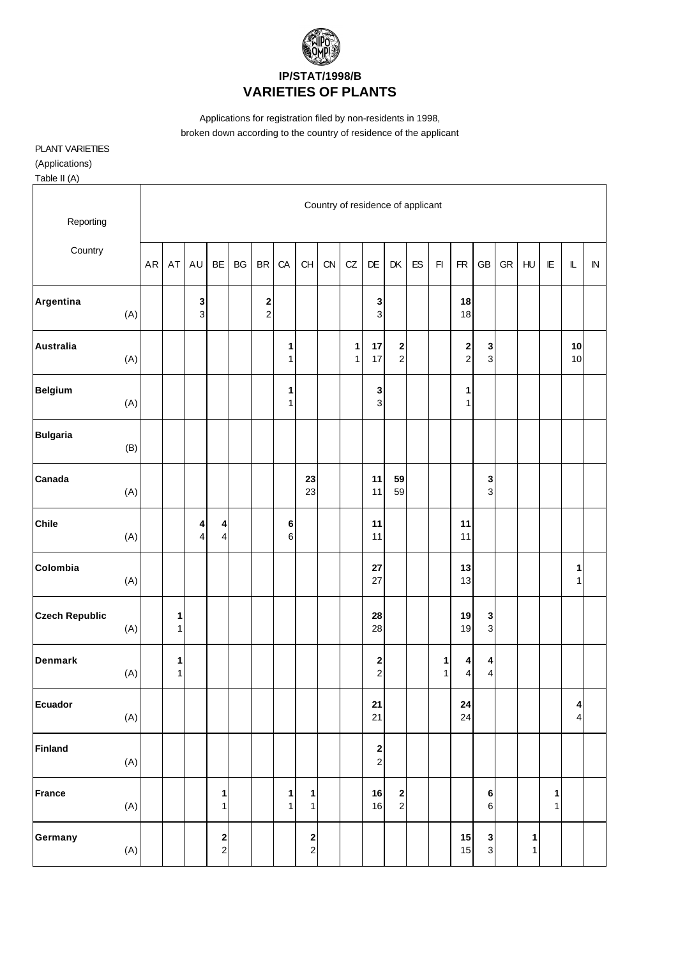

Applications for registration filed by non-residents in 1998, broken down according to the country of residence of the applicant

## PLANT VARIETIES

(Applications)

Table II (A)

| Reporting             |     |            |        |                     |                                          |           |                   |                   |                   | Country of residence of applicant |                   |                                                |                                |            |        |                                    |                                    |            |        |        |                                             |            |
|-----------------------|-----|------------|--------|---------------------|------------------------------------------|-----------|-------------------|-------------------|-------------------|-----------------------------------|-------------------|------------------------------------------------|--------------------------------|------------|--------|------------------------------------|------------------------------------|------------|--------|--------|---------------------------------------------|------------|
| Country               |     | ${\sf AR}$ | AT     | AU                  | BE                                       | <b>BG</b> | <b>BR</b>         | CA                | CH                | CN                                | CZ                | DE                                             | DK                             | ${\sf ES}$ | F1     | ${\sf FR}$                         | GB                                 | ${\sf GR}$ | HU     | E      | $\mathbb L$                                 | ${\sf IN}$ |
| Argentina             | (A) |            |        | 3<br>$\mathbf{3}$   |                                          |           | 2<br>$\mathbf{2}$ |                   |                   |                                   |                   | 3<br>3                                         |                                |            |        | 18<br>18                           |                                    |            |        |        |                                             |            |
| <b>Australia</b>      | (A) |            |        |                     |                                          |           |                   | 1<br>1            |                   |                                   | 1<br>$\mathbf{1}$ | 17<br>17                                       | $\mathbf{2}$<br>$\overline{2}$ |            |        | $\begin{array}{c} \n2 \end{array}$ | 3<br>$\mathbf{3}$                  |            |        |        | 10<br>10                                    |            |
| <b>Belgium</b>        | (A) |            |        |                     |                                          |           |                   | 1<br>1            |                   |                                   |                   | 3<br>3                                         |                                |            |        | $\mathbf{1}$<br>$\mathbf{1}$       |                                    |            |        |        |                                             |            |
| <b>Bulgaria</b>       | (B) |            |        |                     |                                          |           |                   |                   |                   |                                   |                   |                                                |                                |            |        |                                    |                                    |            |        |        |                                             |            |
| Canada                | (A) |            |        |                     |                                          |           |                   |                   | 23<br>23          |                                   |                   | 11<br>11                                       | 59<br>59                       |            |        |                                    | 3<br>$\mathbf{3}$                  |            |        |        |                                             |            |
| <b>Chile</b>          | (A) |            |        | 4<br>$\overline{4}$ | 4<br>$\overline{4}$                      |           |                   | 6<br>6            |                   |                                   |                   | 11<br>11                                       |                                |            |        | 11<br>11                           |                                    |            |        |        |                                             |            |
| Colombia              | (A) |            |        |                     |                                          |           |                   |                   |                   |                                   |                   | ${\bf 27}$<br>27                               |                                |            |        | 13<br>13                           |                                    |            |        |        | 1<br>$\mathbf{1}$                           |            |
| <b>Czech Republic</b> | (A) |            | 1<br>1 |                     |                                          |           |                   |                   |                   |                                   |                   | 28<br>28                                       |                                |            |        | 19<br>19                           | 3<br>$\overline{3}$                |            |        |        |                                             |            |
| <b>Denmark</b>        | (A) |            | 1<br>1 |                     |                                          |           |                   |                   |                   |                                   |                   | 2<br>$\overline{c}$                            |                                |            | 1<br>1 | $\boldsymbol{4}$<br>4              | $\boldsymbol{4}$<br>$\overline{4}$ |            |        |        |                                             |            |
| <b>Ecuador</b>        | (A) |            |        |                     |                                          |           |                   |                   |                   |                                   |                   | 21<br>21                                       |                                |            |        | ${\bf 24}$<br>24                   |                                    |            |        |        | $\boldsymbol{4}$<br>$\overline{\mathbf{4}}$ |            |
| <b>Finland</b>        | (A) |            |        |                     |                                          |           |                   |                   |                   |                                   |                   | $\begin{array}{c} \mathbf{2} \\ 2 \end{array}$ |                                |            |        |                                    |                                    |            |        |        |                                             |            |
| <b>France</b>         | (A) |            |        |                     | $\mathbf{1}$<br>1                        |           |                   | $\mathbf{1}$<br>1 | $\mathbf{1}$<br>1 |                                   |                   | 16<br>16                                       | $\mathbf{2}$<br>$\overline{2}$ |            |        |                                    | $\bf 6$<br>$6 \overline{6}$        |            |        | 1<br>1 |                                             |            |
| Germany               | (A) |            |        |                     | $\begin{array}{c} \n2 \\ 2\n\end{array}$ |           |                   |                   | 2<br>$\mathbf{2}$ |                                   |                   |                                                |                                |            |        | 15<br>15                           | $\mathbf 3$<br>$\mathbf{3}$        |            | 1<br>1 |        |                                             |            |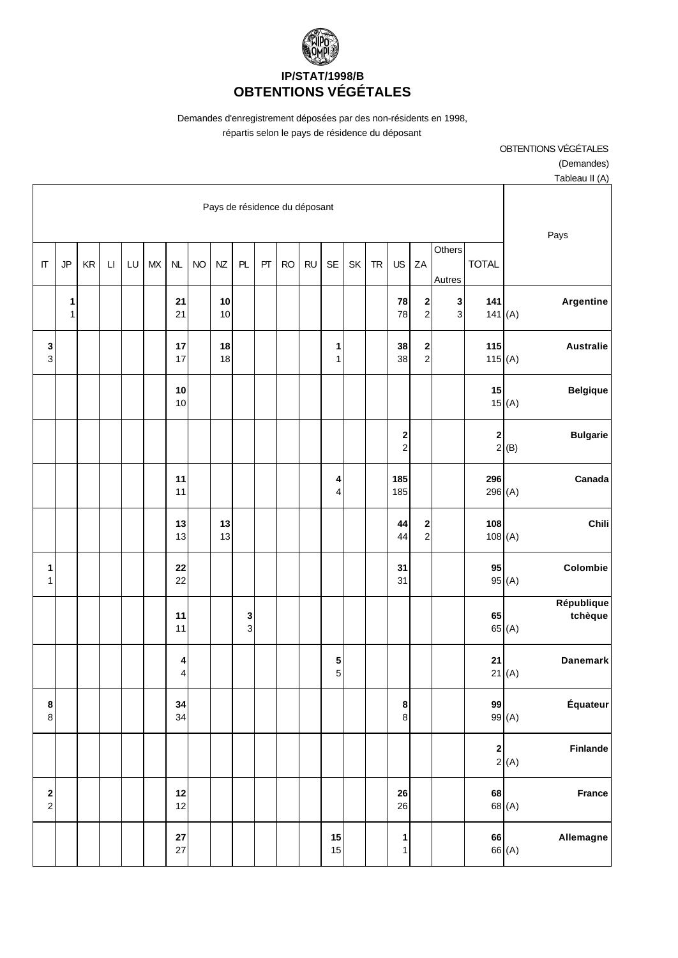

Demandes d'enregistrement déposées par des non-résidents en 1998,

répartis selon le pays de résidence du déposant

OBTENTIONS VÉGÉTALES (Demandes) Tableau II (A)

| $I$ abiday $II$ $(N)$                                  |              |                                |                                                |                                             |           |    |                     |           |           |    |                                |          |           |                  |        |    |                        |                      |                   |                                           |
|--------------------------------------------------------|--------------|--------------------------------|------------------------------------------------|---------------------------------------------|-----------|----|---------------------|-----------|-----------|----|--------------------------------|----------|-----------|------------------|--------|----|------------------------|----------------------|-------------------|-------------------------------------------|
| Pays de résidence du déposant<br>Pays                  |              |                                |                                                |                                             |           |    |                     |           |           |    |                                |          |           |                  |        |    |                        |                      |                   |                                           |
|                                                        | <b>TOTAL</b> | Others<br>Autres               | ZA                                             | US                                          | <b>TR</b> | SK | <b>SE</b>           | <b>RU</b> | <b>RO</b> | PT | PL                             | NZ       | <b>NO</b> | NL               | $M\!X$ | LU | $\mathsf{L}\mathsf{I}$ | $\mathsf{KR}\xspace$ | JP                | $\Pi$                                     |
| Argentine<br>141 $(A)$                                 | $141$        | $\mathbf{3}$<br>$\overline{3}$ | $\mathbf 2$<br>$\overline{c}$                  | ${\bf 78}$<br>78                            |           |    |                     |           |           |    |                                | 10<br>10 |           | 21<br>21         |        |    |                        |                      | 1<br>$\mathbf{1}$ |                                           |
| <b>Australie</b><br>115(A)                             | 115          |                                | $\begin{array}{c} \mathbf{2} \\ 2 \end{array}$ | 38<br>38                                    |           |    | 1<br>1              |           |           |    |                                | 18<br>18 |           | 17<br>17         |        |    |                        |                      |                   | 3<br>3                                    |
| <b>Belgique</b><br>15(A)                               | 15           |                                |                                                |                                             |           |    |                     |           |           |    |                                |          |           | 10<br>10         |        |    |                        |                      |                   |                                           |
| <b>Bulgarie</b><br>2(B)                                | $\mathbf 2$  |                                |                                                | $\begin{array}{c} \n2 \\ \n2 \n\end{array}$ |           |    |                     |           |           |    |                                |          |           |                  |        |    |                        |                      |                   |                                           |
| Canada<br>296(A)                                       | 296          |                                |                                                | 185<br>185                                  |           |    | 4<br>$\overline{4}$ |           |           |    |                                |          |           | 11<br>11         |        |    |                        |                      |                   |                                           |
| Chili<br>108(A)                                        | 108          |                                | $\overline{\mathbf{c}}$<br>$\overline{2}$      | 44<br>44                                    |           |    |                     |           |           |    |                                | 13<br>13 |           | 13<br>13         |        |    |                        |                      |                   |                                           |
| Colombie<br>95(A)                                      | 95           |                                |                                                | 31<br>31                                    |           |    |                     |           |           |    |                                |          |           | 22<br>22         |        |    |                        |                      |                   | 1<br>1                                    |
| République<br>tchèque<br>65 (A)                        | 65           |                                |                                                |                                             |           |    |                     |           |           |    | $\mathbf{3}$<br>$\overline{3}$ |          |           | 11<br>11         |        |    |                        |                      |                   |                                           |
| <b>Danemark</b><br>21(A)                               | 21           |                                |                                                |                                             |           |    | 5<br>5              |           |           |    |                                |          |           | 4<br>4           |        |    |                        |                      |                   |                                           |
| Équateur<br>99(A)                                      | 99           |                                |                                                | $\boldsymbol{8}$<br>$\bf 8$                 |           |    |                     |           |           |    |                                |          |           | 34<br>34         |        |    |                        |                      |                   | 8<br>$\bf 8$                              |
| $\begin{bmatrix} 2 \\ 2 \end{bmatrix}$ (A)<br>Finlande |              |                                |                                                |                                             |           |    |                     |           |           |    |                                |          |           |                  |        |    |                        |                      |                   |                                           |
| France<br>68 <sub>(A)</sub>                            | 68           |                                |                                                | ${\bf 26}$<br>26                            |           |    |                     |           |           |    |                                |          |           | $12$<br>12       |        |    |                        |                      |                   | $\overline{\mathbf{c}}$<br>$\overline{c}$ |
| Allemagne<br>66 (A)                                    | 66           |                                |                                                | 1<br>1                                      |           |    | $15$<br>15          |           |           |    |                                |          |           | ${\bf 27}$<br>27 |        |    |                        |                      |                   |                                           |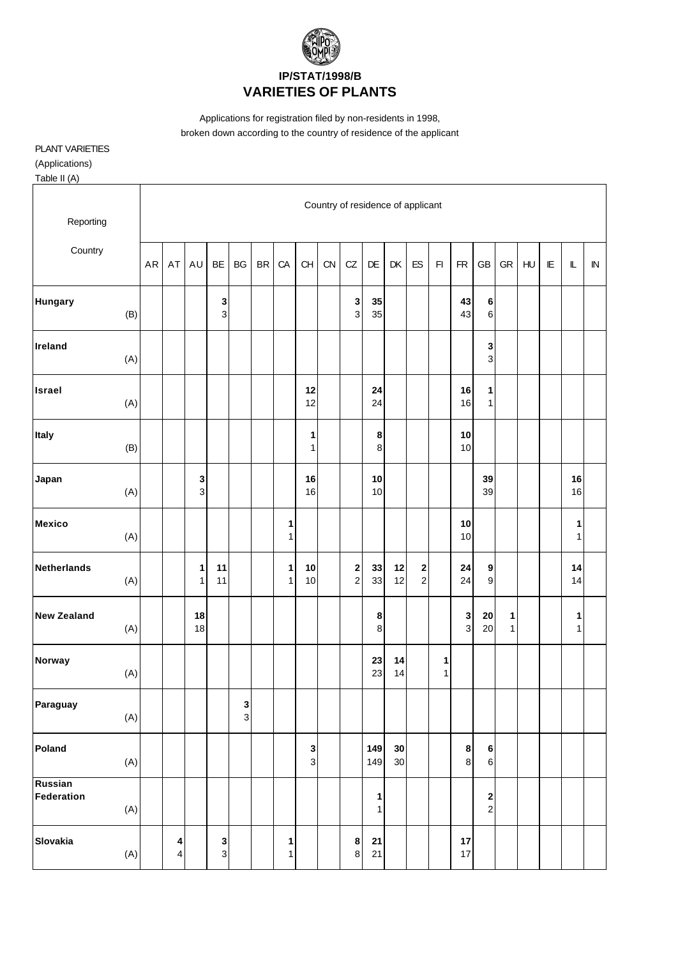

Applications for registration filed by non-residents in 1998, broken down according to the country of residence of the applicant

## PLANT VARIETIES

(Applications)

Table II (A)

| Reporting                    |           |        |                   |               |               |           |                   |                             |    | Country of residence of applicant |              |          |                                             |                         |                  |                                    |                   |    |                        |                   |            |
|------------------------------|-----------|--------|-------------------|---------------|---------------|-----------|-------------------|-----------------------------|----|-----------------------------------|--------------|----------|---------------------------------------------|-------------------------|------------------|------------------------------------|-------------------|----|------------------------|-------------------|------------|
| Country                      | <b>AR</b> | AT     | AU                | BE            | BG            | <b>BR</b> | CA                | CH                          | CN | CZ                                | DE           | DK       | ES                                          | $\mathsf{F} \mathsf{I}$ | <b>FR</b>        | <b>GB</b>                          | ${\sf GR}$        | HU | $\mathsf{I}\mathsf{E}$ | $\mathbb L$       | ${\sf IN}$ |
| Hungary<br>(B)               |           |        |                   | 3<br>3        |               |           |                   |                             |    | 3<br>3                            | 35<br>35     |          |                                             |                         | 43<br>43         | 6<br>6                             |                   |    |                        |                   |            |
| Ireland<br>(A)               |           |        |                   |               |               |           |                   |                             |    |                                   |              |          |                                             |                         |                  | 3<br>3                             |                   |    |                        |                   |            |
| <b>Israel</b><br>(A)         |           |        |                   |               |               |           |                   | 12<br>12                    |    |                                   | 24<br>24     |          |                                             |                         | $16\,$<br>16     | 1<br>$\mathbf{1}$                  |                   |    |                        |                   |            |
| Italy<br>(B)                 |           |        |                   |               |               |           |                   | 1<br>$\mathbf{1}$           |    |                                   | 8<br>$\bf 8$ |          |                                             |                         | 10<br>10         |                                    |                   |    |                        |                   |            |
| Japan<br>(A)                 |           |        | 3<br>$\mathsf 3$  |               |               |           |                   | 16<br>16                    |    |                                   | 10<br>10     |          |                                             |                         |                  | 39<br>39                           |                   |    |                        | 16<br>16          |            |
| <b>Mexico</b><br>(A)         |           |        |                   |               |               |           | 1<br>1            |                             |    |                                   |              |          |                                             |                         | 10<br>10         |                                    |                   |    |                        | 1<br>$\mathbf{1}$ |            |
| <b>Netherlands</b><br>(A)    |           |        | 1<br>$\mathbf{1}$ | 11<br>11      |               |           | 1<br>$\mathbf{1}$ | 10<br>$10$                  |    | $\frac{2}{2}$                     | 33<br>33     | 12<br>12 | $\begin{array}{c} \n2 \\ \n2 \n\end{array}$ |                         | ${\bf 24}$<br>24 | 9<br>9                             |                   |    |                        | 14<br>14          |            |
| <b>New Zealand</b><br>(A)    |           |        | 18<br>18          |               |               |           |                   |                             |    |                                   | 8<br>$\bf 8$ |          |                                             |                         | $\mathbf 3$<br>3 | ${\bf 20}$<br>20                   | $\mathbf{1}$<br>1 |    |                        | 1<br>$\mathbf{1}$ |            |
| Norway<br>(A)                |           |        |                   |               |               |           |                   |                             |    |                                   | 23<br>23     | 14<br>14 |                                             | 1<br>$\mathbf{1}$       |                  |                                    |                   |    |                        |                   |            |
| Paraguay<br>(A)              |           |        |                   |               | $\frac{3}{3}$ |           |                   |                             |    |                                   |              |          |                                             |                         |                  |                                    |                   |    |                        |                   |            |
| Poland<br>(A)                |           |        |                   |               |               |           |                   | $\mathbf 3$<br>$\mathbf{3}$ |    |                                   | 149<br>149   | 30<br>30 |                                             |                         | 8<br>$\bf 8$     | 6<br>$\,6\,$                       |                   |    |                        |                   |            |
| Russian<br>Federation<br>(A) |           |        |                   |               |               |           |                   |                             |    |                                   | 1<br>1       |          |                                             |                         |                  | $\begin{array}{c} \n2 \end{array}$ |                   |    |                        |                   |            |
| Slovakia<br>(A)              |           | 4<br>4 |                   | $\frac{3}{3}$ |               |           | 1<br>1            |                             |    | 8<br>$\bf8$                       | 21<br>$21$   |          |                                             |                         | 17<br>17         |                                    |                   |    |                        |                   |            |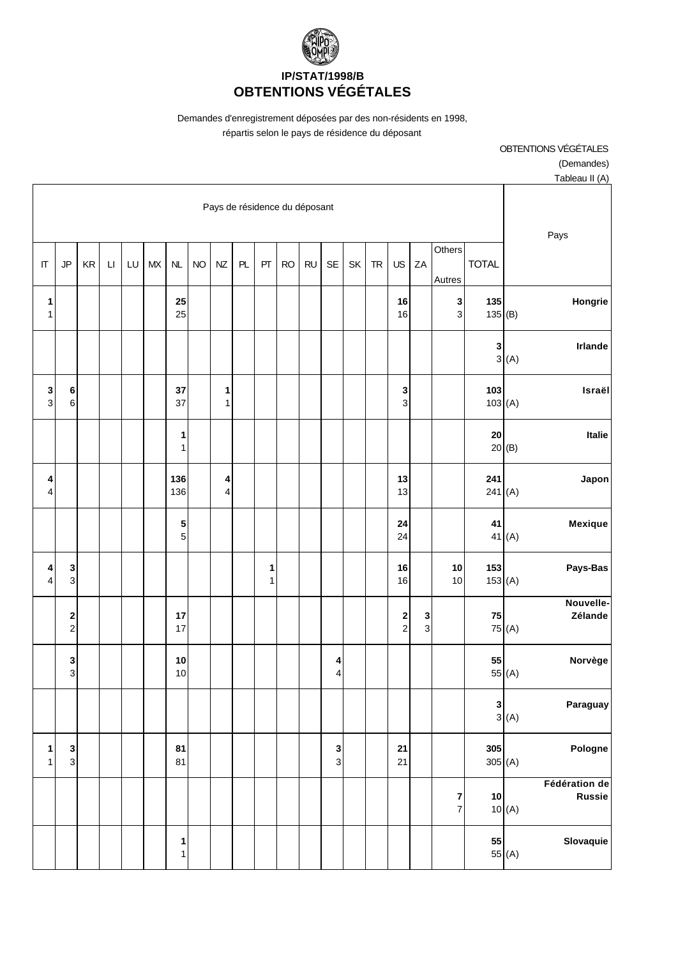

Demandes d'enregistrement déposées par des non-résidents en 1998,

répartis selon le pays de résidence du déposant

| OBTENTIONS VÉGÉTALES |
|----------------------|
| (Demandes)           |

| Tableau II (A)                                            |               |                     |        |                                                               |           |    |                              |           |           |                   |    |                               |           |                   |           |    |          |           |                                 |                   |
|-----------------------------------------------------------|---------------|---------------------|--------|---------------------------------------------------------------|-----------|----|------------------------------|-----------|-----------|-------------------|----|-------------------------------|-----------|-------------------|-----------|----|----------|-----------|---------------------------------|-------------------|
| Pays                                                      |               |                     |        |                                                               |           |    |                              |           |           |                   |    | Pays de résidence du déposant |           |                   |           |    |          |           |                                 |                   |
|                                                           | <b>TOTAL</b>  | Others<br>Autres    | ZA     | US                                                            | <b>TR</b> | SK | $\sf SE$                     | <b>RU</b> | <b>RO</b> | PT                | PL | NZ                            | <b>NO</b> | NL                | <b>MX</b> | LU | $\sqcup$ | <b>KR</b> | JP                              | $\Pi$             |
| Hongrie                                                   | 135<br>135(B) | 3<br>3              |        | 16<br>16                                                      |           |    |                              |           |           |                   |    |                               |           | 25<br>25          |           |    |          |           |                                 | 1<br>1            |
| Irlande<br>3(A)                                           | 3             |                     |        |                                                               |           |    |                              |           |           |                   |    |                               |           |                   |           |    |          |           |                                 |                   |
| Israël<br>103(A)                                          | 103           |                     |        | $\frac{3}{3}$                                                 |           |    |                              |           |           |                   |    | 1<br>$\mathbf{1}$             |           | 37<br>37          |           |    |          |           | 6<br>$6 \mid$                   | 3<br>3            |
| Italie<br>20(B)                                           | ${\bf 20}$    |                     |        |                                                               |           |    |                              |           |           |                   |    |                               |           | 1<br>$\mathbf{1}$ |           |    |          |           |                                 |                   |
| Japon<br>241(A)                                           | 241           |                     |        | 13<br>13                                                      |           |    |                              |           |           |                   |    | 4<br>$\overline{4}$           |           | 136<br>136        |           |    |          |           |                                 | 4<br>4            |
| Mexique<br>41 $(A)$                                       | 41            |                     |        | 24<br>24                                                      |           |    |                              |           |           |                   |    |                               |           | 5<br>5            |           |    |          |           |                                 |                   |
| Pays-Bas<br>153(A)                                        | 153           | 10<br>$10$          |        | 16<br>16                                                      |           |    |                              |           |           | 1<br>$\mathbf{1}$ |    |                               |           |                   |           |    |          |           | $\mathbf{3}$<br>$\overline{3}$  | 4<br>4            |
| Nouvelle-<br>Zélande<br>75 (A)                            | 75            |                     | 3<br>3 | $\begin{array}{c} \n\mathbf{2} \\ \n\mathbf{2} \n\end{array}$ |           |    |                              |           |           |                   |    |                               |           | 17<br>17          |           |    |          |           | $\boldsymbol{2}$<br>$\mathbf 2$ |                   |
| Norvège<br>55 $(A)$                                       | 55            |                     |        |                                                               |           |    | 4<br>$\overline{\mathbf{4}}$ |           |           |                   |    |                               |           | 10<br>10          |           |    |          |           | $\mathbf 3$<br>$\overline{3}$   |                   |
| Paraguay<br>$\begin{bmatrix} 3 \\ 3 \\ (A) \end{bmatrix}$ |               |                     |        |                                                               |           |    |                              |           |           |                   |    |                               |           |                   |           |    |          |           |                                 |                   |
| Pologne<br>305(A)                                         | 305           |                     |        | 21<br>21                                                      |           |    | 3<br>$\overline{3}$          |           |           |                   |    |                               |           | 81<br>81          |           |    |          |           | $\mathbf 3$<br>$\overline{3}$   | 1<br>$\mathbf{1}$ |
| Fédération de<br><b>Russie</b><br>10(A)                   | $10\,$        | 7<br>$\overline{7}$ |        |                                                               |           |    |                              |           |           |                   |    |                               |           |                   |           |    |          |           |                                 |                   |
| Slovaquie<br>55(A)                                        | 55            |                     |        |                                                               |           |    |                              |           |           |                   |    |                               |           | 1<br>$\mathbf{1}$ |           |    |          |           |                                 |                   |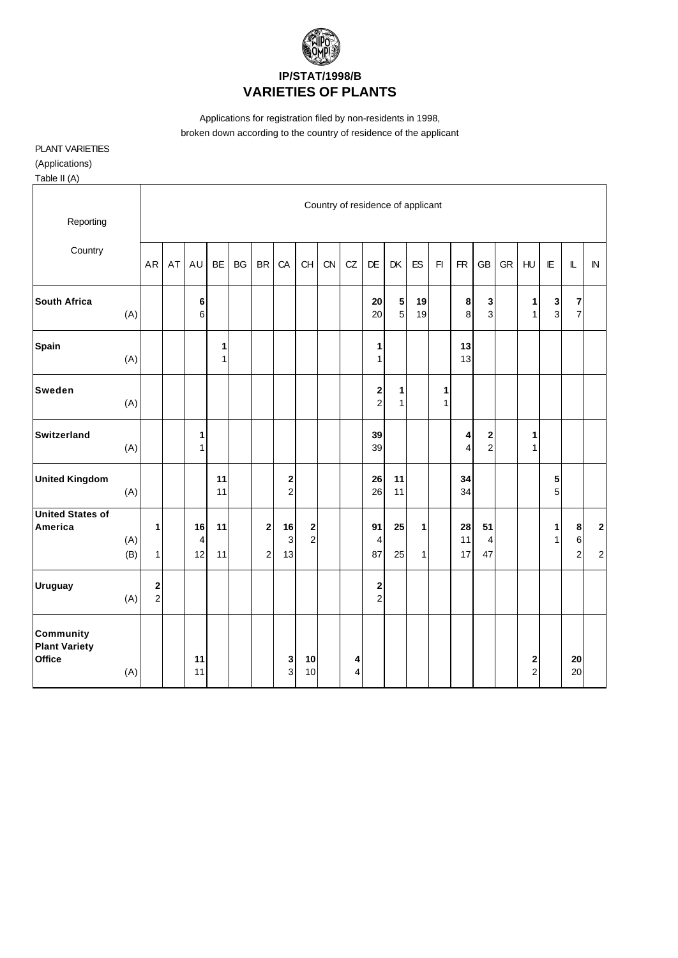

Applications for registration filed by non-residents in 1998, broken down according to the country of residence of the applicant

## PLANT VARIETIES

(Applications)

Table II (A)

| Reporting                                                 |            |                     |    |                   |                   |           |                       |                            |                                       |    | Country of residence of applicant |                               |                             |                   |        |                              |                                           |           |                     |                               |                              |                            |
|-----------------------------------------------------------|------------|---------------------|----|-------------------|-------------------|-----------|-----------------------|----------------------------|---------------------------------------|----|-----------------------------------|-------------------------------|-----------------------------|-------------------|--------|------------------------------|-------------------------------------------|-----------|---------------------|-------------------------------|------------------------------|----------------------------|
| Country                                                   |            | AR                  | AT | AU                | <b>BE</b>         | <b>BG</b> | <b>BR</b>             | CA                         | CH                                    | CN | CZ                                | DE                            | DK                          | ES                | F1     | <b>FR</b>                    | <b>GB</b>                                 | <b>GR</b> | HU                  | IE                            | L                            | ${\sf IN}$                 |
| <b>South Africa</b>                                       | (A)        |                     |    | 6<br>6            |                   |           |                       |                            |                                       |    |                                   | 20<br>20                      | ${\bf 5}$<br>5 <sup>1</sup> | 19<br>19          |        | 8<br>8                       | 3<br>3                                    |           | 1<br>$\mathbf{1}$   | $\mathbf 3$<br>$\overline{3}$ | $\bf 7$<br>$\overline{7}$    |                            |
| <b>Spain</b>                                              | (A)        |                     |    |                   | 1<br>$\mathbf{1}$ |           |                       |                            |                                       |    |                                   | 1<br>$\mathbf{1}$             |                             |                   |        | 13<br>13                     |                                           |           |                     |                               |                              |                            |
| <b>Sweden</b>                                             | (A)        |                     |    |                   |                   |           |                       |                            |                                       |    |                                   | $\mathbf 2$<br>$\overline{2}$ | 1<br>$\mathbf{1}$           |                   | 1<br>1 |                              |                                           |           |                     |                               |                              |                            |
| Switzerland                                               | (A)        |                     |    | 1<br>$\mathbf{1}$ |                   |           |                       |                            |                                       |    |                                   | 39<br>39                      |                             |                   |        | 4<br>$\overline{\mathbf{4}}$ | $\overline{\mathbf{c}}$<br>$\overline{c}$ |           | 1<br>1              |                               |                              |                            |
| <b>United Kingdom</b>                                     | (A)        |                     |    |                   | 11<br>11          |           |                       | $\bf{2}$<br>$\overline{c}$ |                                       |    |                                   | 26<br>26                      | 11<br>11                    |                   |        | 34<br>34                     |                                           |           |                     | $5\phantom{.0}$<br>5          |                              |                            |
| <b>United States of</b><br>America                        | (A)<br>(B) | 1<br>$\mathbf{1}$   |    | 16<br>4<br>12     | 11<br>11          |           | $\bf 2$<br>$\sqrt{2}$ | ${\bf 16}$<br>3<br>13      | $\begin{array}{c} 2 \\ 2 \end{array}$ |    |                                   | 91<br>$\overline{4}$<br>87    | 25<br>25                    | $\mathbf{1}$<br>1 |        | 28<br>11<br>17               | 51<br>4<br>47                             |           |                     | 1<br>$\mathbf{1}$             | 8<br>$\,6$<br>$\overline{c}$ | $\mathbf 2$<br>$\mathbf 2$ |
| <b>Uruguay</b>                                            | (A)        | 2<br>$\overline{c}$ |    |                   |                   |           |                       |                            |                                       |    |                                   | $\mathbf 2$<br>$\overline{a}$ |                             |                   |        |                              |                                           |           |                     |                               |                              |                            |
| <b>Community</b><br><b>Plant Variety</b><br><b>Office</b> | (A)        |                     |    | 11<br>11          |                   |           |                       | 3<br>$\mathbf{3}$          | 10<br>10                              |    | 4<br>4                            |                               |                             |                   |        |                              |                                           |           | 2<br>$\overline{2}$ |                               | 20<br>20                     |                            |